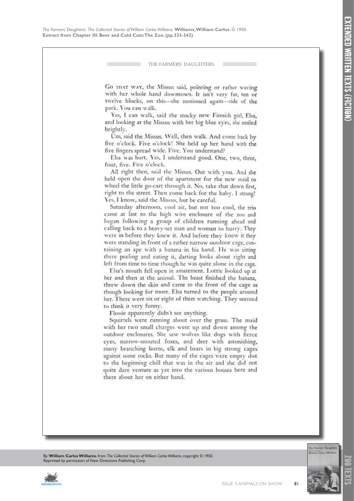## THE FARMERS' DAUGHTERS

Go THAT WAY, the Missus said, pointing or rather waving with her whole hand downtown. It isn't very far, ten or twelve blocks, on this-she motioned again-side of the park. You can walk.

Yes, I can walk, said the stocky new Finnish girl, Elsa, and looking at the Missus with her big blue eyes, she smiled brightly.

Um, said the Missus. Well, then walk. And come back by five o'clock. Five o'clock! She held up her hand with the five fingers spread wide. Five. You understand?

Elsa was hurt. Yes, I understand good. One, two, three, four, five. Five o'clock.

All right then, said the Missus. Out with you. And she held open the door of the apartment for the new maid to wheel the little go-cart through it. No, take that down first, right to the street. Then come back for the baby. I strong! Yes, I know, said the Missus, but be careful.

Saturday afternoon, cool air, but not too cool, the trio came at last to the high wire enclosure of the zoo and began following a group of children running ahead and calling back to a heavy-set man and woman to hurry. They were in before they knew it. And before they knew it they were standing in front of a rather narrow outdoor cage, containing an ape with a banana in his hand. He was sitting there peeling and eating it, darting looks about right and left from time to time though he was quite alone in the cage.

Elsa's mouth fell open in amazement. Lottie looked up at her and then at the animal. The beast finished the banana, threw down the skin and came to the front of the cage as though looking for more. Elsa turned to the people around her. There were six or eight of them watching. They seemed to think it very funny.

Flossie apparently didn't see anything.

Squirrels were running about over the grass. The maid with her two small charges went up and down among the outdoor enclosures. She saw wolves like dogs with fierce eyes, narrow-snouted foxes, and deer with astonishing, many branching horns, elk and bears in big strong cages against some rocks. But many of the cages were empty due to the beginning chill that was in the air and she did not quite dare venture as yet into the various houses here and there about her on either hand.

By **William Carlos Williams**, from *The Collected Stories of William Carlos Williams,* copyright © 1950. Reprinted by permission of New Directions Publishing Corp.



zoo texts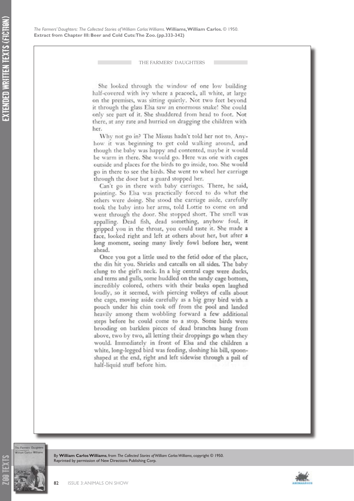THE FARMERS' DAUGHTERS

She looked through the window of one low building half-covered with ivy where a peacock, all white, at large on the premises, was sitting quietly. Not two feet beyond it through the glass Elsa saw an enormous snake! She could only see part of it. She shuddered from head to foot. Not there, at any rate and hurried on dragging the children with her

Why not go in? The Missus hadn't told her not to. Anyhow it was beginning to get cold walking around, and though the baby was happy and contented, maybe it would be warm in there. She would go. Here was one with cages outside and places for the birds to go inside, too. She would go in there to see the birds. She went to wheel her carriage through the door but a guard stopped her.

Can't go in there with baby carriages. There, he said, pointing. So Elsa was practically forced to do what the others were doing. She stood the carriage aside, carefully took the baby into her arms, told Lottie to come on and went through the door. She stopped short. The smell was appalling. Dead fish, dead something, anyhow foul, it gripped you in the throat, you could taste it. She made a face, looked right and left at others about her, but after a long moment, seeing many lively fowl before her, went ahead.

Once you got a little used to the fetid odor of the place, the din hit you. Shrieks and catcalls on all sides. The baby clung to the girl's neck. In a big central cage were ducks, and terns and gulls, some huddled on the sandy cage bottom, incredibly colored, others with their beaks open laughed loudly, so it seemed, with piercing volleys of calls about the cage, moving aside carefully as a big gray bird with a pouch under his chin took off from the pool and landed heavily among them wobbling forward a few additional steps before he could come to a stop. Some birds were brooding on barkless pieces of dead branches hung from above, two by two, all letting their droppings go when they would. Immediately in front of Elsa and the children a white, long-legged bird was feeding, sloshing his bill, spoonshaped at the end, right and left sidewise through a pail of half-liquid stuff before him.



By **William Carlos Williams**, from *The Collected Stories of William Carlos Williams,* copyright © 1950. Reprinted by permission of New Directions Publishing Corp.



82 **ISSUE 3: ANIMALS ON SHOW**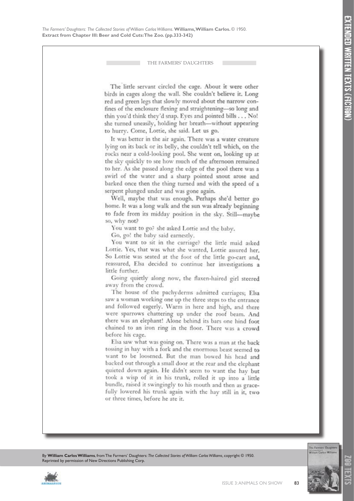THE FARMERS' DAUGHTERS

The little servant circled the cage. About it were other birds in cages along the wall. She couldn't believe it. Long red and green legs that slowly moved about the narrow confines of the enclosure flexing and straightening-so long and thin you'd think they'd snap. Eyes and pointed bills . . . No! she turned uneasily, holding her breath-without appearing to hurry. Come, Lottie, she said. Let us go.

It was better in the air again. There was a water creature lying on its back or its belly, she couldn't tell which, on the rocks near a cold-looking pool. She went on, looking up at the sky quickly to see how much of the afternoon remained to her. As she passed along the edge of the pool there was a swirl of the water and a sharp pointed snout arose and barked once then the thing turned and with the speed of a serpent plunged under and was gone again.

Well, maybe that was enough. Perhaps she'd better go home. It was a long walk and the sun was already beginning to fade from its midday position in the sky. Still-maybe so, why not?

You want to go? she asked Lottie and the baby.

Go, go! the baby said earnestly.

You want to sit in the carriage? the little maid asked Lottie. Yes, that was what she wanted, Lottie assured her. So Lottie was seated at the foot of the little go-cart and, reassured, Elsa decided to continue her investigations a little further.

Going quietly along now, the flaxen-haired girl steered away from the crowd.

The house of the pachyderms admitted carriages; Elsa saw a woman working one up the three steps to the entrance and followed eagerly. Warm in here and high, and there were sparrows chattering up under the roof beam. And there was an elephant! Alone behind its bars one hind foot chained to an iron ring in the floor. There was a crowd before his cage.

Elsa saw what was going on. There was a man at the back tossing in hay with a fork and the enormous beast seemed to want to be loosened. But the man bowed his head and backed out through a small door at the rear and the elephant quieted down again. He didn't seem to want the hay but took a wisp of it in his trunk, rolled it up into a little bundle, raised it swingingly to his mouth and then as gracefully lowered his trunk again with the hay still in it, two or three times, before he ate it.

By **William Carlos Williams**, from The Farmers' Daughters: *The Collected Stories of William Carlos Williams,* copyright © 1950. Reprinted by permission of New Directions Publishing Corp.



zoo texts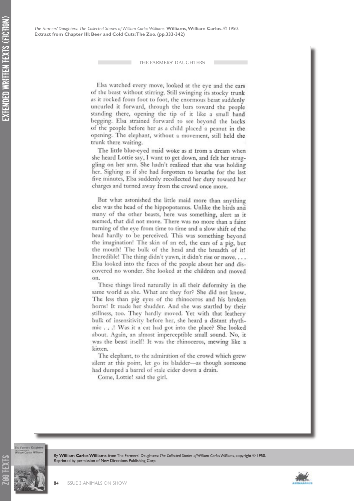THE FARMERS' DAUGHTERS

Elsa watched every move, looked at the eye and the ears of the beast without stirring. Still swinging its stocky trunk as it rocked from foot to foot, the enormous beast suddenly uncurled it forward, through the bars toward the people standing there, opening the tip of it like a small hand begging. Elsa strained forward to see beyond the backs of the people before her as a child placed a peanut in the opening. The elephant, without a movement, still held the trunk there waiting.

The little blue-eyed maid woke as if from a dream when she heard Lottie say, I want to get down, and felt her struggling on her arm. She hadn't realized that she was holding her. Sighing as if she had forgotten to breathe for the last five minutes, Elsa suddenly recollected her duty toward her charges and turned away from the crowd once more.

But what astonished the little maid more than anything else was the head of the hippopotamus. Unlike the birds and many of the other beasts, here was something, alert as it seemed, that did not move. There was no more than a faint turning of the eve from time to time and a slow shift of the head hardly to be perceived. This was something beyond the imagination! The skin of an eel, the ears of a pig, but the mouth! The bulk of the head and the breadth of it! Incredible! The thing didn't yawn, it didn't rise or move.... Elsa looked into the faces of the people about her and discovered no wonder. She looked at the children and moved on.

These things lived naturally in all their deformity in the same world as she. What are they for? She did not know. The less than pig eyes of the rhinoceros and his broken horns! It made her shudder. And she was startled by their stillness, too. They hardly moved. Yet with that leathery bulk of insensitivity before her, she heard a distant rhythmic . . .! Was it a cat had got into the place? She looked about. Again, an almost imperceptible small sound. No, it was the beast itself! It was the rhinoceros, mewing like a kitten.

The elephant, to the admiration of the crowd which grew silent at this point, let go its bladder-as though someone had dumped a barrel of stale cider down a drain.

Come, Lottie! said the girl.



ZOO TEXTS

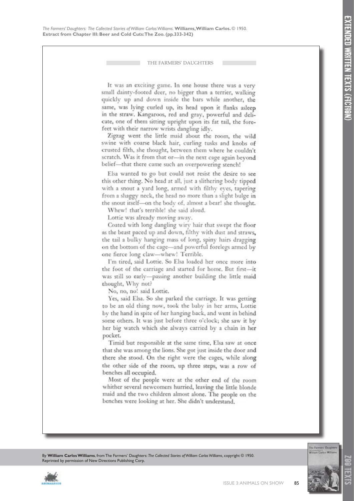THE FARMERS' DAUGHTERS

It was an exciting game. In one house there was a very small dainty-footed deer, no bigger than a terrier, walking quickly up and down inside the bars while another, the same, was lying curled up, its head upon it flanks asleep in the straw. Kangaroos, red and gray, powerful and delicate, one of them sitting upright upon its fat tail, the forefeet with their narrow wrists dangling idly.

Zigzag went the little maid about the room, the wild swine with coarse black hair, curling tusks and knobs of crusted filth, she thought, between them where he couldn't scratch. Was it from that or-in the next cage again beyond belief-that there came such an overpowering stench!

Elsa wanted to go but could not resist the desire to see this other thing. No head at all, just a slithering body tipped with a snout a yard long, armed with filthy eyes, tapering from a shaggy neck, the head no more than a slight bulge in the snout itself-on the body of, almost a bear! she thought.

Whew! that's terrible! she said aloud.

Lottie was already moving away.

Coated with long dangling wirv hair that swept the floor as the beast paced up and down, filthy with dust and straws, the tail a bulky hanging mass of long, spiny hairs dragging on the bottom of the cage-and powerful forelegs armed by one fierce long claw-whew! Terrible.

I'm tired, said Lottie. So Elsa loaded her once more into the foot of the carriage and started for home. But first-it was still so early-passing another building the little maid thought, Why not?

No, no, no! said Lottie.

Yes, said Elsa. So she parked the carriage. It was getting to be an old thing now, took the baby in her arms, Lottie by the hand in spite of her hanging back, and went in behind some others. It was just before three o'clock; she saw it by her big watch which she always carried by a chain in her pocket.

Timid but responsible at the same time, Elsa saw at once that she was among the lions. She got just inside the door and there she stood. On the right were the cages, while along the other side of the room, up three steps, was a row of benches all occupied.

Most of the people were at the other end of the room whither several newcomers hurried, leaving the little blonde maid and the two children almost alone. The people on the benches were looking at her. She didn't understand,





zoo texts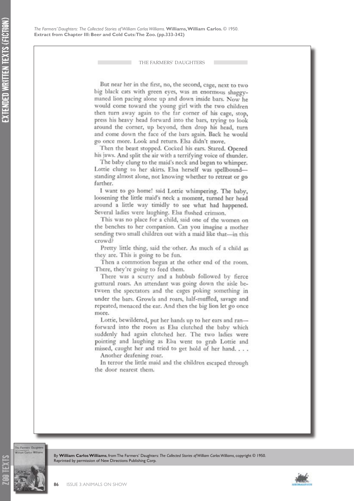THE FARMERS' DAUGHTERS

But near her in the first, no, the second, cage, next to two big black cats with green eyes, was an enormous shaggymaned lion pacing alone up and down inside bars. Now he would come toward the young girl with the two children then turn away again to the far corner of his cage, stop, press his heavy head forward into the bars, trying to look around the corner, up beyond, then drop his head, turn and come down the face of the bars again. Back he would go once more. Look and return. Elsa didn't move.

Then the beast stopped. Cocked his ears. Stared. Opened his jaws. And split the air with a terrifying voice of thunder.

The baby clung to the maid's neck and began to whimper. Lottie clung to her skirts. Elsa herself was spellboundstanding almost alone, not knowing whether to retreat or go farther.

I want to go home! said Lottie whimpering. The baby, loosening the little maid's neck a moment, turned her head around a little way timidly to see what had happened. Several ladies were laughing. Elsa flushed crimson.

This was no place for a child, said one of the women on the benches to her companion. Can you imagine a mother sending two small children out with a maid like that-in this crowd?

Pretty little thing, said the other. As much of a child as they are. This is going to be fun.

Then a commotion began at the other end of the room. There, they're going to feed them.

There was a scurry and a hubbub followed by fierce guttural roars. An attendant was going down the aisle between the spectators and the cages poking something in under the bars. Growls and roars, half-muffled, savage and repeated, menaced the ear. And then the big lion let go once more.

Lottie, bewildered, put her hands up to her ears and ranforward into the room as Elsa clutched the baby which suddenly had again clutched her. The two ladies were pointing and laughing as Elsa went to grab Lottie and missed, caught her and tried to get hold of her hand. . . .

Another deafening roar.

In terror the little maid and the children escaped through the door nearest them.

ZOO TEXTS

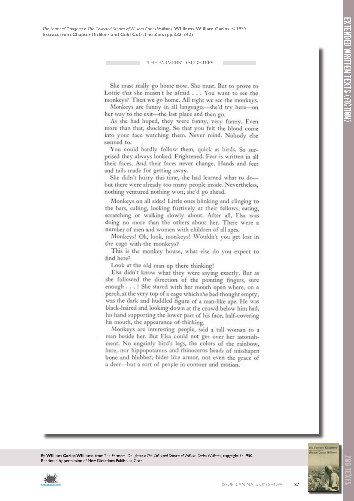THE FARMERS' DAUGHTERS

She must really go home now. She must. But to prove to Lottie that she mustn't be afraid . . . You want to see the monkeys? Then we go home. All right we see the monkeys.

Monkeys are funny in all languages-she'd try here-on her way to the exit-the last place and then go.

As she had hoped, they were funny, very funny. Even more than that, shocking. So that you felt the blood come into your face watching them. Never mind. Nobody else seemed to.

You could hardly follow them, quick as birds. So surprised they always looked. Frightened. Fear is written in all their faces. And their faces never change. Hands and feet and tails made for getting away.

She didn't hurry this time, she had learned what to dobut there were already too many people inside. Nevertheless, nothing ventured nothing won; she'd go ahead.

Monkeys on all sides! Little ones blinking and clinging to the bars, calling, looking furtively at their fellows, eating, scratching or walking slowly about. After all, Elsa was doing no more than the others about her. There were a number of men and women with children of all ages.

Monkeys! Oh, look, monkeys! Wouldn't you get lost in the cage with the monkeys?

This is the monkey house, what else do you expect to find here?

Look at the old man up there thinking!

Elsa didn't know what they were saying exactly. But as she followed the direction of the pointing fingers, sure enough . . . ! She stared with her mouth open where, on a perch, at the very top of a cage which she had thought empty, was the dark and huddled figure of a man-like ape. He was black-haired and looking down at the crowd below him had, his hand supporting the lower part of his face, half-covering his mouth, the appearance of thinking.

Monkeys are interesting people, said a tall woman to a man beside her. But Elsa could not get over her astonishment. No ungainly bird's legs, the colors of the rainbow, here, nor hippopotamus and rhinoceros heads of misshapen bone and blubber, hides like armor, not even the grace of a deer-but a sort of people in contour and motion.



zoo texts